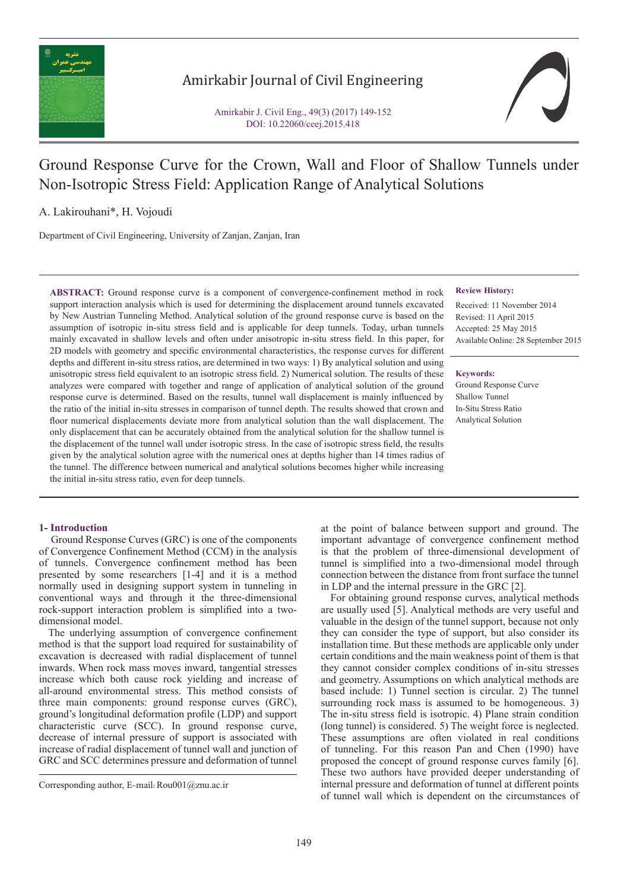

## Amirkabir Journal of Civil Engineering

Amirkabir J. Civil Eng., 49(3) (2017) 149-152 DOI: 10.22060/ceej.2015.418



# Ground Response Curve for the Crown, Wall and Floor of Shallow Tunnels under Non-Isotropic Stress Field: Application Range of Analytical Solutions

A. Lakirouhani\*, H. Vojoudi

Department of Civil Engineering, University of Zanjan, Zanjan, Iran

**ABSTRACT:** Ground response curve is a component of convergence-confinement method in rock support interaction analysis which is used for determining the displacement around tunnels excavated by New Austrian Tunneling Method. Analytical solution of the ground response curve is based on the assumption of isotropic in-situ stress field and is applicable for deep tunnels. Today, urban tunnels mainly excavated in shallow levels and often under anisotropic in-situ stress field. In this paper, for 2D models with geometry and specific environmental characteristics, the response curves for different depths and different in-situ stress ratios, are determined in two ways: 1) By analytical solution and using anisotropic stress field equivalent to an isotropic stress field. 2) Numerical solution. The results of these analyzes were compared with together and range of application of analytical solution of the ground response curve is determined. Based on the results, tunnel wall displacement is mainly influenced by the ratio of the initial in-situ stresses in comparison of tunnel depth. The results showed that crown and floor numerical displacements deviate more from analytical solution than the wall displacement. The only displacement that can be accurately obtained from the analytical solution for the shallow tunnel is the displacement of the tunnel wall under isotropic stress. In the case of isotropic stress field, the results given by the analytical solution agree with the numerical ones at depths higher than 14 times radius of the tunnel. The difference between numerical and analytical solutions becomes higher while increasing the initial in-situ stress ratio, even for deep tunnels.

## **1- Introduction**

 Ground Response Curves (GRC) is one of the components of Convergence Confinement Method (CCM) in the analysis of tunnels. Convergence confinement method has been presented by some researchers [1-4] and it is a method normally used in designing support system in tunneling in conventional ways and through it the three-dimensional rock-support interaction problem is simplified into a twodimensional model.

 The underlying assumption of convergence confinement method is that the support load required for sustainability of excavation is decreased with radial displacement of tunnel inwards. When rock mass moves inward, tangential stresses increase which both cause rock yielding and increase of all-around environmental stress. This method consists of three main components: ground response curves (GRC), ground's longitudinal deformation profile (LDP) and support characteristic curve (SCC). In ground response curve, decrease of internal pressure of support is associated with increase of radial displacement of tunnel wall and junction of GRC and SCC determines pressure and deformation of tunnel

## **Review History:**

Received: 11 November 2014 Revised: 11 April 2015 Accepted: 25 May 2015 Available Online: 28 September 2015

#### **Keywords:**

Ground Response Curve Shallow Tunnel In-Situ Stress Ratio Analytical Solution

at the point of balance between support and ground. The important advantage of convergence confinement method is that the problem of three-dimensional development of tunnel is simplified into a two-dimensional model through connection between the distance from front surface the tunnel in LDP and the internal pressure in the GRC [2].

 For obtaining ground response curves, analytical methods are usually used [5]. Analytical methods are very useful and valuable in the design of the tunnel support, because not only they can consider the type of support, but also consider its installation time. But these methods are applicable only under certain conditions and the main weakness point of them is that they cannot consider complex conditions of in-situ stresses and geometry. Assumptions on which analytical methods are based include: 1) Tunnel section is circular. 2) The tunnel surrounding rock mass is assumed to be homogeneous. 3) The in-situ stress field is isotropic. 4) Plane strain condition (long tunnel) is considered. 5) The weight force is neglected. These assumptions are often violated in real conditions of tunneling. For this reason Pan and Chen (1990) have proposed the concept of ground response curves family [6]. These two authors have provided deeper understanding of internal pressure and deformation of tunnel at different points of tunnel wall which is dependent on the circumstances of

Corresponding author, E-mail: Rou001@znu.ac.ir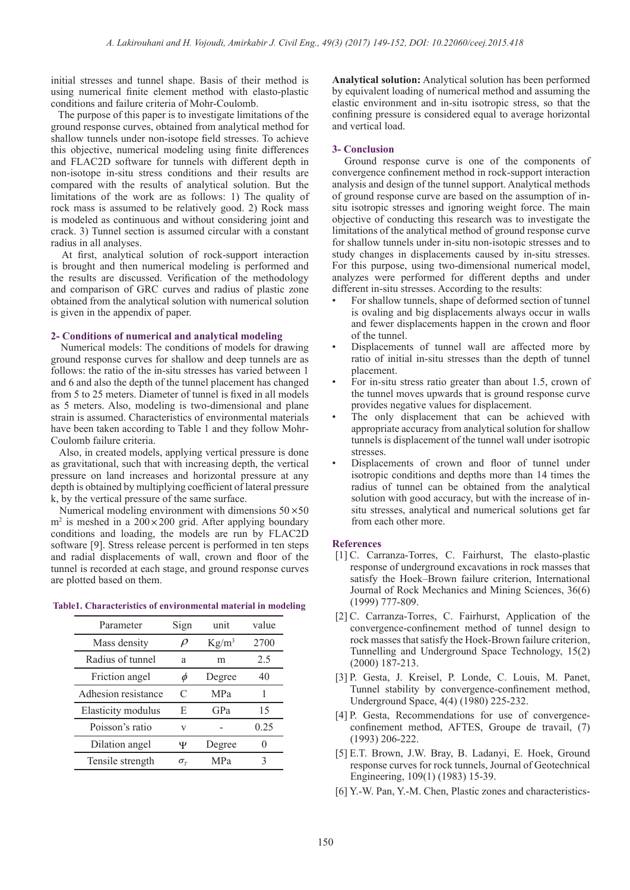initial stresses and tunnel shape. Basis of their method is using numerical finite element method with elasto-plastic conditions and failure criteria of Mohr-Coulomb.

 The purpose of this paper is to investigate limitations of the ground response curves, obtained from analytical method for shallow tunnels under non-isotope field stresses. To achieve this objective, numerical modeling using finite differences and FLAC2D software for tunnels with different depth in non-isotope in-situ stress conditions and their results are compared with the results of analytical solution. But the limitations of the work are as follows: 1) The quality of rock mass is assumed to be relatively good. 2) Rock mass is modeled as continuous and without considering joint and crack. 3) Tunnel section is assumed circular with a constant radius in all analyses.

 At first, analytical solution of rock-support interaction is brought and then numerical modeling is performed and the results are discussed. Verification of the methodology and comparison of GRC curves and radius of plastic zone obtained from the analytical solution with numerical solution is given in the appendix of paper.

## **2- Conditions of numerical and analytical modeling**

 Numerical models: The conditions of models for drawing ground response curves for shallow and deep tunnels are as follows: the ratio of the in-situ stresses has varied between 1 and 6 and also the depth of the tunnel placement has changed from 5 to 25 meters. Diameter of tunnel is fixed in all models as 5 meters. Also, modeling is two-dimensional and plane strain is assumed. Characteristics of environmental materials have been taken according to Table 1 and they follow Mohr-Coulomb failure criteria.

 Also, in created models, applying vertical pressure is done as gravitational, such that with increasing depth, the vertical pressure on land increases and horizontal pressure at any depth is obtained by multiplying coefficient of lateral pressure k, by the vertical pressure of the same surface.

Numerical modeling environment with dimensions  $50 \times 50$  $m<sup>2</sup>$  is meshed in a 200 $\times$ 200 grid. After applying boundary conditions and loading, the models are run by FLAC2D software [9]. Stress release percent is performed in ten steps and radial displacements of wall, crown and floor of the tunnel is recorded at each stage, and ground response curves are plotted based on them.

## **Table1. Characteristics of environmental material in modeling**

| Parameter           | Sign            | unit       | value |
|---------------------|-----------------|------------|-------|
| Mass density        |                 | $Kg/m^3$   | 2700  |
| Radius of tunnel    | a               | m          | 2.5   |
| Friction angel      |                 | Degree     | 40    |
| Adhesion resistance | C               | <b>MPa</b> |       |
| Elasticity modulus  | E               | GPa        | 15    |
| Poisson's ratio     | v               |            | 0.25  |
| Dilation angel      | Ψ               | Degree     |       |
| Tensile strength    | $\sigma_{\tau}$ | MPa        | 3     |
|                     |                 |            |       |

**Analytical solution:** Analytical solution has been performed by equivalent loading of numerical method and assuming the elastic environment and in-situ isotropic stress, so that the confining pressure is considered equal to average horizontal and vertical load.

## **3- Conclusion**

 Ground response curve is one of the components of convergence confinement method in rock-support interaction analysis and design of the tunnel support. Analytical methods of ground response curve are based on the assumption of insitu isotropic stresses and ignoring weight force. The main objective of conducting this research was to investigate the limitations of the analytical method of ground response curve for shallow tunnels under in-situ non-isotopic stresses and to study changes in displacements caused by in-situ stresses. For this purpose, using two-dimensional numerical model, analyzes were performed for different depths and under different in-situ stresses. According to the results:

- For shallow tunnels, shape of deformed section of tunnel is ovaling and big displacements always occur in walls and fewer displacements happen in the crown and floor of the tunnel.
- Displacements of tunnel wall are affected more by ratio of initial in-situ stresses than the depth of tunnel placement.
- For in-situ stress ratio greater than about 1.5, crown of the tunnel moves upwards that is ground response curve provides negative values for displacement.
- The only displacement that can be achieved with appropriate accuracy from analytical solution for shallow tunnels is displacement of the tunnel wall under isotropic stresses.
- Displacements of crown and floor of tunnel under isotropic conditions and depths more than 14 times the radius of tunnel can be obtained from the analytical solution with good accuracy, but with the increase of insitu stresses, analytical and numerical solutions get far from each other more.

## **References**

- [1] C. Carranza-Torres, C. Fairhurst, The elasto-plastic response of underground excavations in rock masses that satisfy the Hoek–Brown failure criterion, International Journal of Rock Mechanics and Mining Sciences, 36(6) (1999) 777-809.
- [2] C. Carranza-Torres, C. Fairhurst, Application of the convergence-confinement method of tunnel design to rock masses that satisfy the Hoek-Brown failure criterion, Tunnelling and Underground Space Technology, 15(2) (2000) 187-213.
- [3] P. Gesta, J. Kreisel, P. Londe, C. Louis, M. Panet, Tunnel stability by convergence-confinement method, Underground Space, 4(4) (1980) 225-232.
- [4] P. Gesta, Recommendations for use of convergenceconfinement method, AFTES, Groupe de travail, (7) (1993) 206-222.
- [5] E.T. Brown, J.W. Bray, B. Ladanyi, E. Hoek, Ground response curves for rock tunnels, Journal of Geotechnical Engineering, 109(1) (1983) 15-39.
- [6] Y.-W. Pan, Y.-M. Chen, Plastic zones and characteristics-